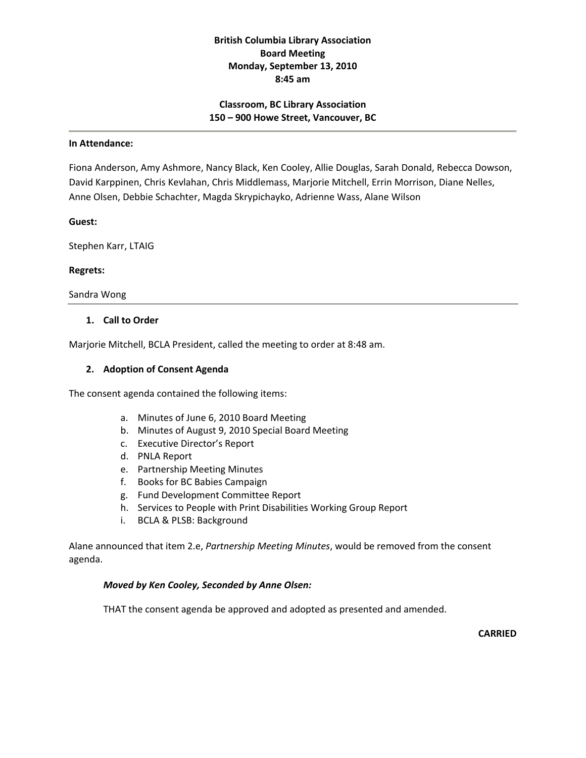# **British Columbia Library Association Board Meeting Monday, September 13, 2010 8:45 am**

## **Classroom, BC Library Association 150 – 900 Howe Street, Vancouver, BC**

#### **In Attendance:**

Fiona Anderson, Amy Ashmore, Nancy Black, Ken Cooley, Allie Douglas, Sarah Donald, Rebecca Dowson, David Karppinen, Chris Kevlahan, Chris Middlemass, Marjorie Mitchell, Errin Morrison, Diane Nelles, Anne Olsen, Debbie Schachter, Magda Skrypichayko, Adrienne Wass, Alane Wilson

### **Guest:**

Stephen Karr, LTAIG

### **Regrets:**

Sandra Wong

### **1. Call to Order**

Marjorie Mitchell, BCLA President, called the meeting to order at 8:48 am.

### **2. Adoption of Consent Agenda**

The consent agenda contained the following items:

- a. Minutes of June 6, 2010 Board Meeting
- b. Minutes of August 9, 2010 Special Board Meeting
- c. Executive Director's Report
- d. PNLA Report
- e. Partnership Meeting Minutes
- f. Books for BC Babies Campaign
- g. Fund Development Committee Report
- h. Services to People with Print Disabilities Working Group Report
- i. BCLA & PLSB: Background

Alane announced that item 2.e, *Partnership Meeting Minutes*, would be removed from the consent agenda.

### *Moved by Ken Cooley, Seconded by Anne Olsen:*

THAT the consent agenda be approved and adopted as presented and amended.

**CARRIED**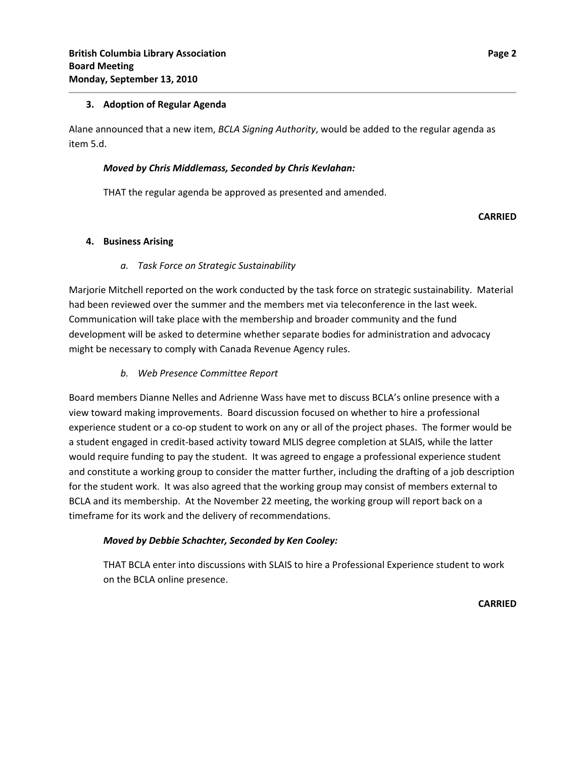### **3. Adoption of Regular Agenda**

Alane announced that a new item, *BCLA Signing Authority*, would be added to the regular agenda as item 5.d.

### *Moved by Chris Middlemass, Seconded by Chris Kevlahan:*

THAT the regular agenda be approved as presented and amended.

## **CARRIED**

## **4. Business Arising**

## *a. Task Force on Strategic Sustainability*

Marjorie Mitchell reported on the work conducted by the task force on strategic sustainability. Material had been reviewed over the summer and the members met via teleconference in the last week. Communication will take place with the membership and broader community and the fund development will be asked to determine whether separate bodies for administration and advocacy might be necessary to comply with Canada Revenue Agency rules.

## *b. Web Presence Committee Report*

Board members Dianne Nelles and Adrienne Wass have met to discuss BCLA's online presence with a view toward making improvements. Board discussion focused on whether to hire a professional experience student or a co‐op student to work on any or all of the project phases. The former would be a student engaged in credit‐based activity toward MLIS degree completion at SLAIS, while the latter would require funding to pay the student. It was agreed to engage a professional experience student and constitute a working group to consider the matter further, including the drafting of a job description for the student work. It was also agreed that the working group may consist of members external to BCLA and its membership. At the November 22 meeting, the working group will report back on a timeframe for its work and the delivery of recommendations.

## *Moved by Debbie Schachter, Seconded by Ken Cooley:*

THAT BCLA enter into discussions with SLAIS to hire a Professional Experience student to work on the BCLA online presence.

**CARRIED**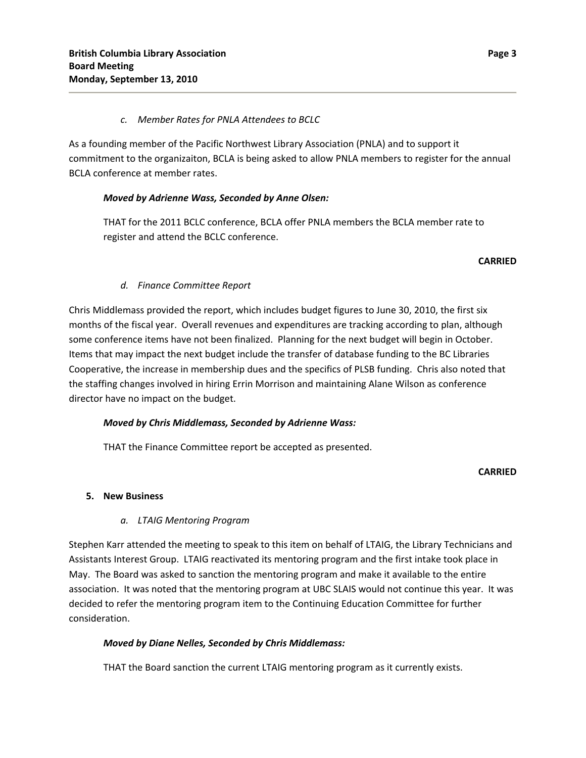## *c. Member Rates for PNLA Attendees to BCLC*

As a founding member of the Pacific Northwest Library Association (PNLA) and to support it commitment to the organizaiton, BCLA is being asked to allow PNLA members to register for the annual BCLA conference at member rates.

# *Moved by Adrienne Wass, Seconded by Anne Olsen:*

THAT for the 2011 BCLC conference, BCLA offer PNLA members the BCLA member rate to register and attend the BCLC conference.

### **CARRIED**

## *d. Finance Committee Report*

Chris Middlemass provided the report, which includes budget figures to June 30, 2010, the first six months of the fiscal year. Overall revenues and expenditures are tracking according to plan, although some conference items have not been finalized. Planning for the next budget will begin in October. Items that may impact the next budget include the transfer of database funding to the BC Libraries Cooperative, the increase in membership dues and the specifics of PLSB funding. Chris also noted that the staffing changes involved in hiring Errin Morrison and maintaining Alane Wilson as conference director have no impact on the budget.

## *Moved by Chris Middlemass, Seconded by Adrienne Wass:*

THAT the Finance Committee report be accepted as presented.

## **CARRIED**

## **5. New Business**

## *a. LTAIG Mentoring Program*

Stephen Karr attended the meeting to speak to this item on behalf of LTAIG, the Library Technicians and Assistants Interest Group. LTAIG reactivated its mentoring program and the first intake took place in May. The Board was asked to sanction the mentoring program and make it available to the entire association. It was noted that the mentoring program at UBC SLAIS would not continue this year. It was decided to refer the mentoring program item to the Continuing Education Committee for further consideration.

# *Moved by Diane Nelles, Seconded by Chris Middlemass:*

THAT the Board sanction the current LTAIG mentoring program as it currently exists.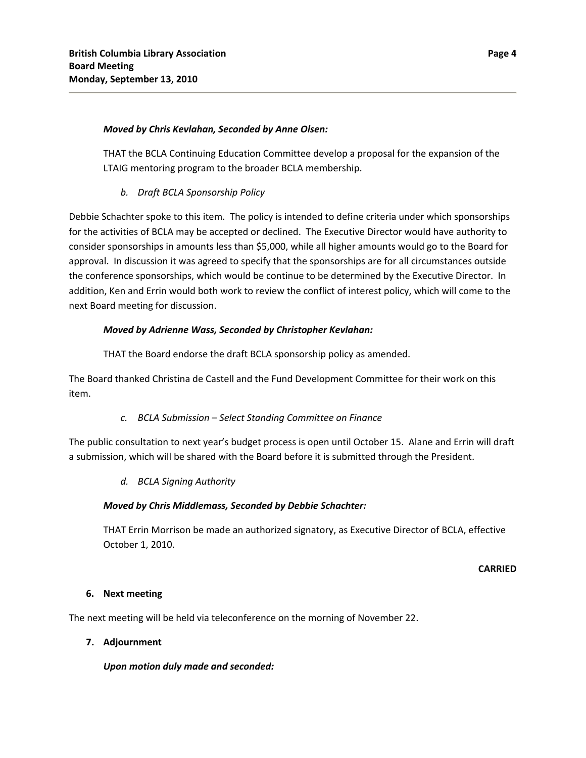## *Moved by Chris Kevlahan, Seconded by Anne Olsen:*

THAT the BCLA Continuing Education Committee develop a proposal for the expansion of the LTAIG mentoring program to the broader BCLA membership.

# *b. Draft BCLA Sponsorship Policy*

Debbie Schachter spoke to this item. The policy is intended to define criteria under which sponsorships for the activities of BCLA may be accepted or declined. The Executive Director would have authority to consider sponsorships in amounts less than \$5,000, while all higher amounts would go to the Board for approval. In discussion it was agreed to specify that the sponsorships are for all circumstances outside the conference sponsorships, which would be continue to be determined by the Executive Director. In addition, Ken and Errin would both work to review the conflict of interest policy, which will come to the next Board meeting for discussion.

# *Moved by Adrienne Wass, Seconded by Christopher Kevlahan:*

THAT the Board endorse the draft BCLA sponsorship policy as amended.

The Board thanked Christina de Castell and the Fund Development Committee for their work on this item.

## *c. BCLA Submission – Select Standing Committee on Finance*

The public consultation to next year's budget process is open until October 15. Alane and Errin will draft a submission, which will be shared with the Board before it is submitted through the President.

# *d. BCLA Signing Authority*

# *Moved by Chris Middlemass, Seconded by Debbie Schachter:*

THAT Errin Morrison be made an authorized signatory, as Executive Director of BCLA, effective October 1, 2010.

## **CARRIED**

## **6. Next meeting**

The next meeting will be held via teleconference on the morning of November 22.

## **7. Adjournment**

*Upon motion duly made and seconded:*